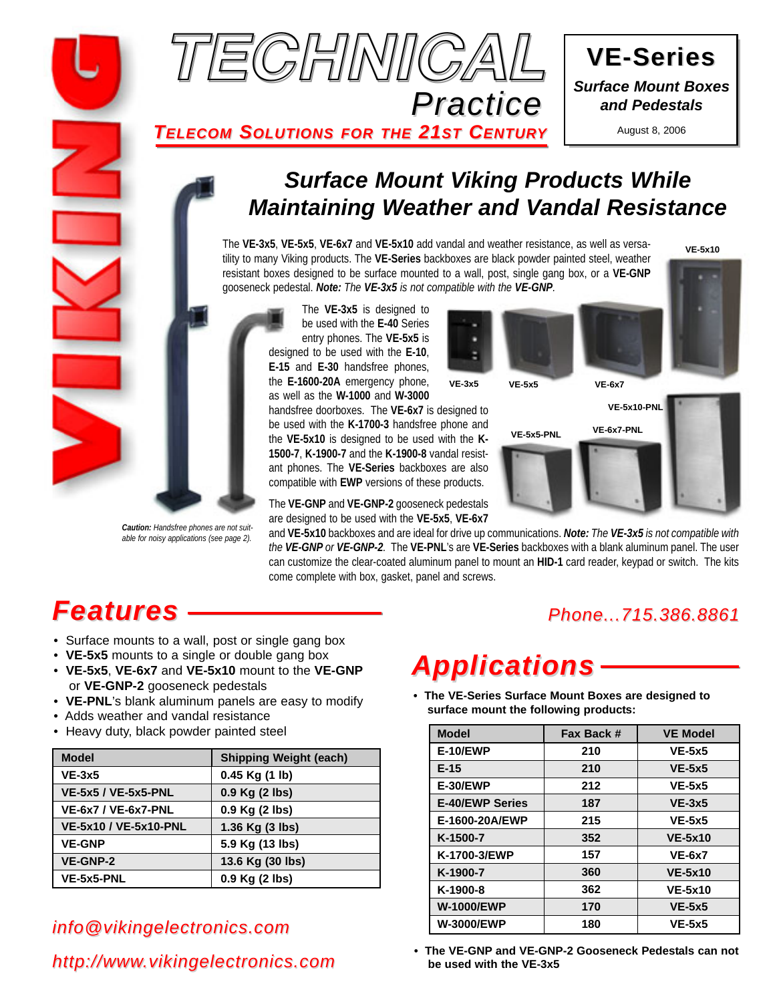



August 8, 2006

### *TELECOM SOLUTIONS FOR THE 21ST CENTURY*

# *Surface Mount Viking Products While Maintaining Weather and Vandal Resistance*

The **VE-3x5**, **VE-5x5**, **VE-6x7** and **VE-5x10** add vandal and weather resistance, as well as versatility to many Viking products. The **VE-Series** backboxes are black powder painted steel, weather resistant boxes designed to be surface mounted to a wall, post, single gang box, or a **VE-GNP** gooseneck pedestal. *Note: The VE-3x5 is not compatible with the VE-GNP.*

*Caution: Handsfree phones are not suitable for noisy applications (see page 2).*

The **VE-3x5** is designed to be used with the **E-40** Series entry phones. The **VE-5x5** is designed to be used with the **E-10**, **E-15** and **E-30** handsfree phones, the **E-1600-20A** emergency phone, as well as the **W-1000** and **W-3000**

handsfree doorboxes. The **VE-6x7** is designed to be used with the **K-1700-3** handsfree phone and the **VE-5x10** is designed to be used with the **K-1500-7**, **K-1900-7** and the **K-1900-8** vandal resistant phones. The **VE-Series** backboxes are also compatible with **EWP** versions of these products.

The **VE-GNP** and **VE-GNP-2** gooseneck pedestals are designed to be used with the **VE-5x5**, **VE-6x7**

**VE-3x5 VE-5x5 VE-6x7 VE-5x5-PNL VE-6x7-PNL VE-5x10-PNL**

and **VE-5x10** backboxes and are ideal for drive up communications. *Note: The VE-3x5 is not compatible with the VE-GNP or VE-GNP-2.* The **VE-PNL**'s are **VE-Series** backboxes with a blank aluminum panel. The user can customize the clear-coated aluminum panel to mount an **HID-1** card reader, keypad or switch. The kits come complete with box, gasket, panel and screws.

# *Features*

- Surface mounts to a wall, post or single gang box
- **VE-5x5** mounts to a single or double gang box
- **VE-5x5**, **VE-6x7** and **VE-5x10** mount to the **VE-GNP** or **VE-GNP-2** gooseneck pedestals
- **VE-PNL**'s blank aluminum panels are easy to modify
- Adds weather and vandal resistance
- Heavy duty, black powder painted steel

| <b>Model</b>                 | <b>Shipping Weight (each)</b> |  |
|------------------------------|-------------------------------|--|
| $VE-3x5$                     | $0.45$ Kg $(1 \text{ lb})$    |  |
| <b>VE-5x5 / VE-5x5-PNL</b>   | 0.9 Kg (2 lbs)                |  |
| <b>VE-6x7 / VE-6x7-PNL</b>   | 0.9 Kg (2 lbs)                |  |
| <b>VE-5x10 / VE-5x10-PNL</b> | 1.36 Kg (3 lbs)               |  |
| <b>VE-GNP</b>                | 5.9 Kg (13 lbs)               |  |
| <b>VE-GNP-2</b>              | 13.6 Kg (30 lbs)              |  |
| VE-5x5-PNL                   | 0.9 Kg (2 lbs)                |  |

# *info@vikingelectronics.com*

# *http://www.vikingelectronics.com*

# *Phone...715.386.8861*

# *Applications*

**• The VE-Series Surface Mount Boxes are designed to surface mount the following products:**

| <b>Model</b>           | Fax Back # | <b>VE Model</b> |
|------------------------|------------|-----------------|
| <b>E-10/EWP</b>        | 210        | $VE-5x5$        |
| $E-15$                 | 210        | $VE-5x5$        |
| <b>E-30/EWP</b>        | 212        | $VE-5x5$        |
| <b>E-40/EWP Series</b> | 187        | $VE-3x5$        |
| E-1600-20A/EWP         | 215        | $VE-5x5$        |
| K-1500-7               | 352        | <b>VE-5x10</b>  |
| K-1700-3/EWP           | 157        | <b>VE-6x7</b>   |
| K-1900-7               | 360        | <b>VE-5x10</b>  |
| K-1900-8               | 362        | <b>VE-5x10</b>  |
| <b>W-1000/EWP</b>      | 170        | $VE-5x5$        |
| <b>W-3000/EWP</b>      | 180        | $VE-5x5$        |

**• The VE-GNP and VE-GNP-2 Gooseneck Pedestals can not be used with the VE-3x5**

**VE-5x10**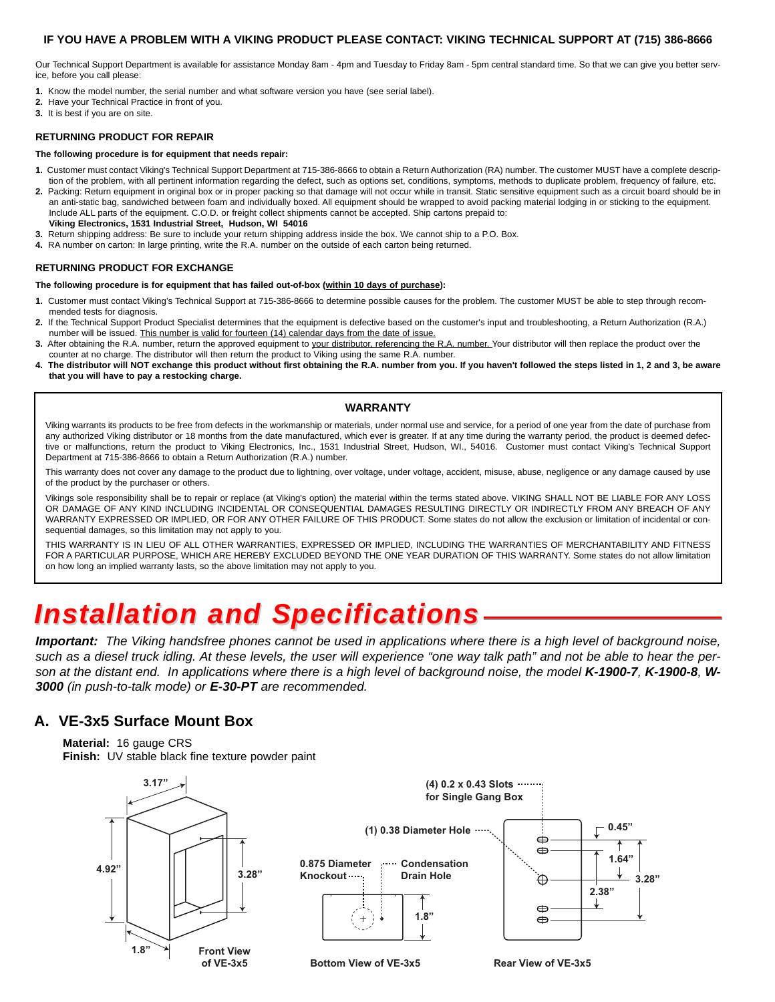#### **IF YOU HAVE A PROBLEM WITH A VIKING PRODUCT PLEASE CONTACT: VIKING TECHNICAL SUPPORT AT (715) 386-8666**

Our Technical Support Department is available for assistance Monday 8am - 4pm and Tuesday to Friday 8am - 5pm central standard time. So that we can give you better service, before you call please:

- **1.** Know the model number, the serial number and what software version you have (see serial label).
- **2.** Have your Technical Practice in front of you.
- **3.** It is best if you are on site.

#### **RETURNING PRODUCT FOR REPAIR**

#### **The following procedure is for equipment that needs repair:**

- **1.** Customer must contact Viking's Technical Support Department at 715-386-8666 to obtain a Return Authorization (RA) number. The customer MUST have a complete description of the problem, with all pertinent information regarding the defect, such as options set, conditions, symptoms, methods to duplicate problem, frequency of failure, etc.
- 2. Packing: Return equipment in original box or in proper packing so that damage will not occur while in transit. Static sensitive equipment such as a circuit board should be in an anti-static bag, sandwiched between foam and individually boxed. All equipment should be wrapped to avoid packing material lodging in or sticking to the equipment. Include ALL parts of the equipment. C.O.D. or freight collect shipments cannot be accepted. Ship cartons prepaid to: **Viking Electronics, 1531 Industrial Street, Hudson, WI 54016**
- **3.** Return shipping address: Be sure to include your return shipping address inside the box. We cannot ship to a P.O. Box.
- **4.** RA number on carton: In large printing, write the R.A. number on the outside of each carton being returned.

#### **RETURNING PRODUCT FOR EXCHANGE**

**The following procedure is for equipment that has failed out-of-box (within 10 days of purchase):**

- **1.** Customer must contact Viking's Technical Support at 715-386-8666 to determine possible causes for the problem. The customer MUST be able to step through recommended tests for diagnosis.
- **2.** If the Technical Support Product Specialist determines that the equipment is defective based on the customer's input and troubleshooting, a Return Authorization (R.A.) number will be issued. This number is valid for fourteen (14) calendar days from the date of issue.
- **3.** After obtaining the R.A. number, return the approved equipment to your distributor, referencing the R.A. number. Your distributor will then replace the product over the counter at no charge. The distributor will then return the product to Viking using the same R.A. number.
- **4. The distributor will NOT exchange this product without first obtaining the R.A. number from you. If you haven't followed the steps listed in 1, 2 and 3, be aware that you will have to pay a restocking charge.**

#### **WARRANTY**

Viking warrants its products to be free from defects in the workmanship or materials, under normal use and service, for a period of one year from the date of purchase from any authorized Viking distributor or 18 months from the date manufactured, which ever is greater. If at any time during the warranty period, the product is deemed defective or malfunctions, return the product to Viking Electronics, Inc., 1531 Industrial Street, Hudson, WI., 54016. Customer must contact Viking's Technical Support Department at 715-386-8666 to obtain a Return Authorization (R.A.) number.

This warranty does not cover any damage to the product due to lightning, over voltage, under voltage, accident, misuse, abuse, negligence or any damage caused by use of the product by the purchaser or others.

Vikings sole responsibility shall be to repair or replace (at Viking's option) the material within the terms stated above. VIKING SHALL NOT BE LIABLE FOR ANY LOSS OR DAMAGE OF ANY KIND INCLUDING INCIDENTAL OR CONSEQUENTIAL DAMAGES RESULTING DIRECTLY OR INDIRECTLY FROM ANY BREACH OF ANY WARRANTY EXPRESSED OR IMPLIED, OR FOR ANY OTHER FAILURE OF THIS PRODUCT. Some states do not allow the exclusion or limitation of incidental or consequential damages, so this limitation may not apply to you.

THIS WARRANTY IS IN LIEU OF ALL OTHER WARRANTIES, EXPRESSED OR IMPLIED, INCLUDING THE WARRANTIES OF MERCHANTABILITY AND FITNESS FOR A PARTICULAR PURPOSE, WHICH ARE HEREBY EXCLUDED BEYOND THE ONE YEAR DURATION OF THIS WARRANTY. Some states do not allow limitation on how long an implied warranty lasts, so the above limitation may not apply to you.

# *Installation and Specifications*

*Important: The Viking handsfree phones cannot be used in applications where there is a high level of background noise, such as a diesel truck idling. At these levels, the user will experience "one way talk path" and not be able to hear the person at the distant end. In applications where there is a high level of background noise, the model K-1900-7, K-1900-8, W-3000 (in push-to-talk mode) or E-30-PT are recommended.*

#### **A. VE-3x5 Surface Mount Box**

**Material:** 16 gauge CRS **Finish:** UV stable black fine texture powder paint

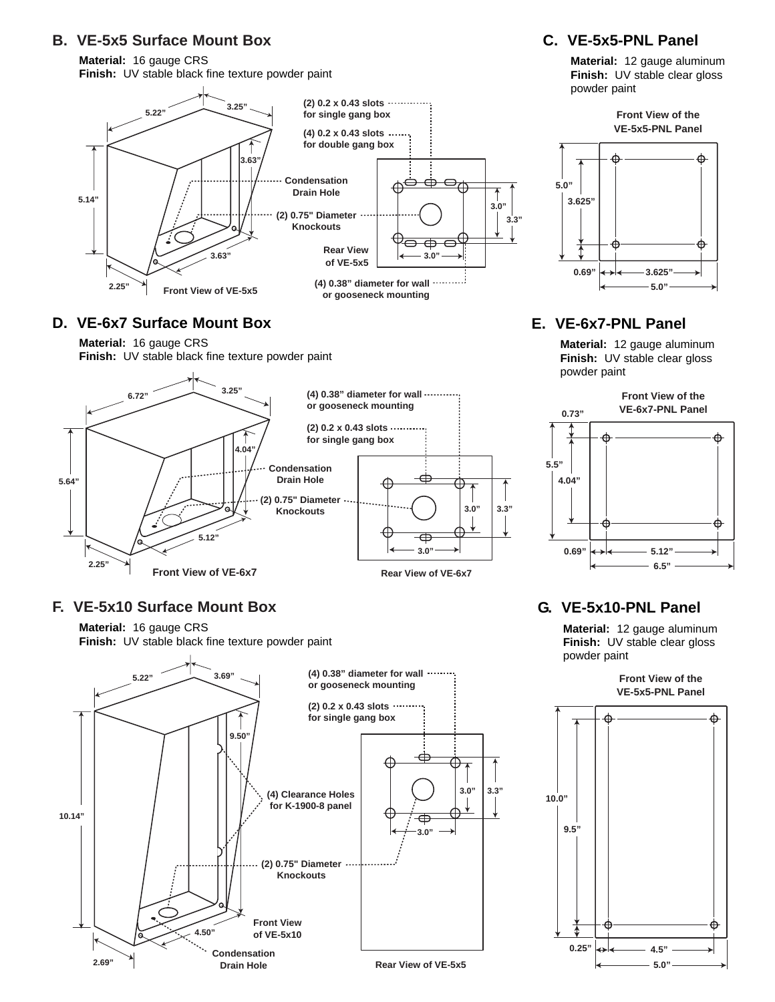### **B. VE-5x5 Surface Mount Box**

**Material:** 16 gauge CRS **Finish:** UV stable black fine texture powder paint



#### **D. VE-6x7 Surface Mount Box**

**Material:** 16 gauge CRS

**Finish:** UV stable black fine texture powder paint



#### **F. VE-5x10 Surface Mount Box**

**Material:** 16 gauge CRS **Finish:** UV stable black fine texture powder paint



#### **C. VE-5x5-PNL Panel**

**Material:** 12 gauge aluminum **Finish:** UV stable clear gloss powder paint

> **Front View of the VE-5x5-PNL Panel**



### **E. VE-6x7-PNL Panel**

**Material:** 12 gauge aluminum **Finish:** UV stable clear gloss powder paint



### **G. VE-5x10-PNL Panel**

**Material:** 12 gauge aluminum **Finish:** UV stable clear gloss powder paint

> **Front View of the VE-5x5-PNL Panel**